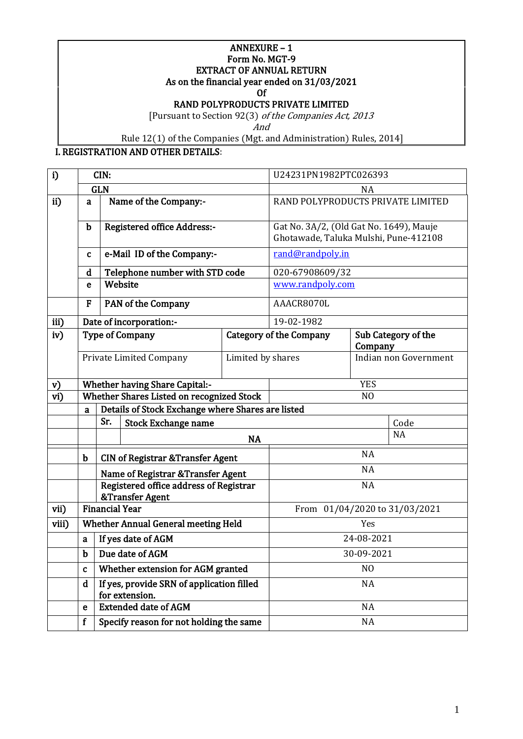#### $ANNEXURE - 1$ Form No. MGT-9 EXTRACT OF ANNUAL RETURN

As on the financial year ended on 31/03/2021

Of

RAND POLYPRODUCTS PRIVATE LIMITED

[Pursuant to Section 92(3) of the Companies Act, 2013

And

Rule 12(1) of the Companies (Mgt. and Administration) Rules, 2014]

I. REGISTRATION AND OTHER DETAILS:

| i)    | CIN:        |                                                             | U24231PN1982PTC026393                                     |                                                                                  |                                   |           |                     |
|-------|-------------|-------------------------------------------------------------|-----------------------------------------------------------|----------------------------------------------------------------------------------|-----------------------------------|-----------|---------------------|
|       |             | <b>GLN</b>                                                  |                                                           |                                                                                  | NA                                |           |                     |
| ii)   | a           |                                                             | Name of the Company:-                                     |                                                                                  | RAND POLYPRODUCTS PRIVATE LIMITED |           |                     |
|       | $\mathbf b$ | <b>Registered office Address:-</b>                          |                                                           | Gat No. 3A/2, (Old Gat No. 1649), Mauje<br>Ghotawade, Taluka Mulshi, Pune-412108 |                                   |           |                     |
|       | C           |                                                             | e-Mail ID of the Company:-                                |                                                                                  | rand@randpoly.in                  |           |                     |
|       | d           |                                                             | Telephone number with STD code                            |                                                                                  | 020-67908609/32                   |           |                     |
|       | e           |                                                             | Website                                                   |                                                                                  | www.randpoly.com                  |           |                     |
|       | F           |                                                             | PAN of the Company                                        |                                                                                  | AAACR8070L                        |           |                     |
| iii)  |             |                                                             | Date of incorporation:-                                   |                                                                                  | 19-02-1982                        |           |                     |
| iv)   |             |                                                             | <b>Type of Company</b>                                    |                                                                                  | <b>Category of the Company</b>    | Company   | Sub Category of the |
|       |             |                                                             | Private Limited Company                                   | Limited by shares                                                                | Indian non Government             |           |                     |
| v)    |             |                                                             | <b>Whether having Share Capital:-</b>                     |                                                                                  | <b>YES</b>                        |           |                     |
| vi)   |             |                                                             | Whether Shares Listed on recognized Stock                 |                                                                                  | N <sub>O</sub>                    |           |                     |
|       | a           |                                                             | Details of Stock Exchange where Shares are listed         |                                                                                  |                                   |           |                     |
|       |             | Sr.                                                         | <b>Stock Exchange name</b>                                |                                                                                  | Code                              |           |                     |
|       |             |                                                             |                                                           | <b>NA</b>                                                                        |                                   |           | <b>NA</b>           |
|       | $\mathbf b$ |                                                             | <b>CIN of Registrar &amp; Transfer Agent</b>              |                                                                                  | <b>NA</b>                         |           |                     |
|       |             |                                                             | Name of Registrar & Transfer Agent                        |                                                                                  | <b>NA</b>                         |           |                     |
|       |             |                                                             | Registered office address of Registrar<br>&Transfer Agent |                                                                                  | <b>NA</b>                         |           |                     |
| vii)  |             | <b>Financial Year</b>                                       |                                                           |                                                                                  | From 01/04/2020 to 31/03/2021     |           |                     |
| viii) |             | Whether Annual General meeting Held                         |                                                           | Yes                                                                              |                                   |           |                     |
|       | a           | If yes date of AGM                                          |                                                           | 24-08-2021                                                                       |                                   |           |                     |
|       | $\mathbf b$ | Due date of AGM                                             |                                                           | 30-09-2021                                                                       |                                   |           |                     |
|       | $\mathbf c$ | Whether extension for AGM granted                           |                                                           | N <sub>O</sub>                                                                   |                                   |           |                     |
|       | d           | If yes, provide SRN of application filled<br>for extension. |                                                           | <b>NA</b>                                                                        |                                   |           |                     |
|       | e           |                                                             | <b>Extended date of AGM</b>                               |                                                                                  |                                   | <b>NA</b> |                     |
|       | $\mathbf f$ |                                                             | Specify reason for not holding the same                   |                                                                                  | NA                                |           |                     |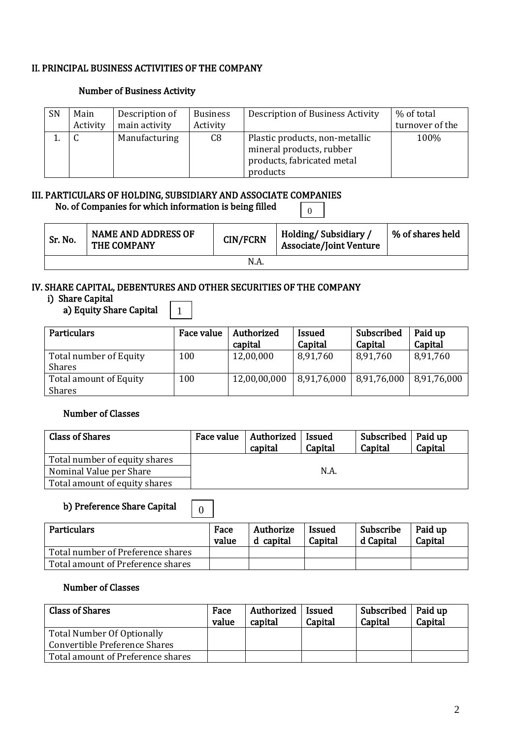#### II. PRINCIPAL BUSINESS ACTIVITIES OF THE COMPANY

#### Number of Business Activity

| SN | Main<br>Activity | Description of<br>main activity | <b>Business</b><br>Activity | Description of Business Activity                                                                     | % of total<br>turnover of the |
|----|------------------|---------------------------------|-----------------------------|------------------------------------------------------------------------------------------------------|-------------------------------|
|    |                  | Manufacturing                   | C8                          | Plastic products, non-metallic<br>mineral products, rubber<br>products, fabricated metal<br>products | 100%                          |

# III. PARTICULARS OF HOLDING, SUBSIDIARY AND ASSOCIATE COMPANIES  $\overline{0}$

No. of Companies for which information is being filled

| Sr. No. | <b>NAME AND ADDRESS OF</b><br>THE COMPANY | <b>CIN/FCRN</b> | Holding/Subsidiary,<br><b>Associate/Joint Venture</b> | % of shares held |  |  |  |
|---------|-------------------------------------------|-----------------|-------------------------------------------------------|------------------|--|--|--|
| N.A.    |                                           |                 |                                                       |                  |  |  |  |

#### IV. SHARE CAPITAL, DEBENTURES AND OTHER SECURITIES OF THE COMPANY

0

1

#### i) Share Capital

# a) Equity Share Capital

| <b>Particulars</b>                      | Face value | Authorized<br>capital | <b>Issued</b><br>Capital | Subscribed<br>Capital       | Paid up<br>Capital |
|-----------------------------------------|------------|-----------------------|--------------------------|-----------------------------|--------------------|
| Total number of Equity<br><b>Shares</b> | 100        | 12,00,000             | 8,91,760                 | 8,91,760                    | 8,91,760           |
| <b>Total amount of Equity</b>           | 100        | 12,00,00,000          | 8,91,76,000              | $8,91,76,000$   8,91,76,000 |                    |
| <b>Shares</b>                           |            |                       |                          |                             |                    |

# Number of Classes

| <b>Class of Shares</b>        | Face value   Authorized<br>capital | Issued<br>Capital | Subscribed   Paid up<br>Capital | Capital |
|-------------------------------|------------------------------------|-------------------|---------------------------------|---------|
| Total number of equity shares |                                    |                   |                                 |         |
| Nominal Value per Share       |                                    | N.A               |                                 |         |
| Total amount of equity shares |                                    |                   |                                 |         |

#### b) Preference Share Capital

| <b>Particulars</b>                | Face<br>value | Authorize<br>d capital | <b>Issued</b><br>Capital | Subscribe<br>d Capital | Paid up<br>Capital |
|-----------------------------------|---------------|------------------------|--------------------------|------------------------|--------------------|
| Total number of Preference shares |               |                        |                          |                        |                    |
| Total amount of Preference shares |               |                        |                          |                        |                    |

# Number of Classes

| <b>Class of Shares</b>            | Face<br>value | Authorized<br>capital | <b>Issued</b><br>Capital | Subscribed   Paid up<br>Capital | Capital |
|-----------------------------------|---------------|-----------------------|--------------------------|---------------------------------|---------|
| Total Number Of Optionally        |               |                       |                          |                                 |         |
| Convertible Preference Shares     |               |                       |                          |                                 |         |
| Total amount of Preference shares |               |                       |                          |                                 |         |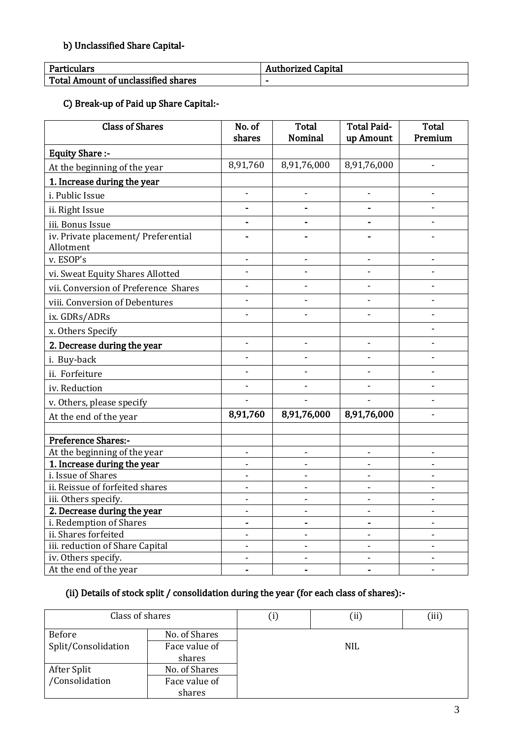# b) Unclassified Share Capital-

| Particulars                         | <b>Authorized Capital</b> |
|-------------------------------------|---------------------------|
| Total Amount of unclassified shares | -                         |

C) Break-up of Paid up Share Capital:-

| <b>Class of Shares</b>                           | No. of<br>shares | <b>Total</b><br><b>Nominal</b> | <b>Total Paid-</b><br>up Amount | <b>Total</b><br>Premium  |
|--------------------------------------------------|------------------|--------------------------------|---------------------------------|--------------------------|
| <b>Equity Share:-</b>                            |                  |                                |                                 |                          |
| At the beginning of the year                     | 8,91,760         | 8,91,76,000                    | 8,91,76,000                     |                          |
| 1. Increase during the year                      |                  |                                |                                 |                          |
| i. Public Issue                                  |                  |                                |                                 |                          |
| ii. Right Issue                                  |                  |                                |                                 |                          |
| iii. Bonus Issue                                 |                  |                                |                                 |                          |
| iv. Private placement/ Preferential<br>Allotment |                  |                                |                                 |                          |
| v. ESOP's                                        |                  |                                |                                 |                          |
| vi. Sweat Equity Shares Allotted                 |                  |                                |                                 |                          |
| vii. Conversion of Preference Shares             |                  |                                |                                 |                          |
| viii. Conversion of Debentures                   |                  |                                |                                 |                          |
| ix. GDRs/ADRs                                    |                  |                                |                                 |                          |
| x. Others Specify                                |                  |                                |                                 |                          |
| 2. Decrease during the year                      |                  |                                |                                 |                          |
| i. Buy-back                                      |                  |                                |                                 |                          |
| ii. Forfeiture                                   |                  |                                |                                 |                          |
| iv. Reduction                                    |                  |                                |                                 |                          |
| v. Others, please specify                        |                  |                                |                                 |                          |
| At the end of the year                           | 8,91,760         | 8,91,76,000                    | 8,91,76,000                     |                          |
|                                                  |                  |                                |                                 |                          |
| Preference Shares:-                              |                  |                                |                                 |                          |
| At the beginning of the year                     |                  |                                |                                 |                          |
| 1. Increase during the year                      |                  |                                |                                 |                          |
| i. Issue of Shares                               |                  |                                |                                 |                          |
| ii. Reissue of forfeited shares                  |                  |                                | -                               |                          |
| iii. Others specify.                             |                  |                                |                                 |                          |
| 2. Decrease during the year                      |                  |                                |                                 |                          |
| i. Redemption of Shares                          |                  |                                |                                 |                          |
| ii. Shares forfeited                             |                  |                                | $\overline{\phantom{0}}$        | $\overline{\phantom{a}}$ |
| iii. reduction of Share Capital                  |                  |                                |                                 |                          |
| iv. Others specify.                              |                  |                                |                                 |                          |
| At the end of the year                           |                  |                                |                                 |                          |

# (ii) Details of stock split / consolidation during the year (for each class of shares):-

| Class of shares     |               | U   | (ii) | (iii) |  |  |
|---------------------|---------------|-----|------|-------|--|--|
| Before              | No. of Shares |     |      |       |  |  |
| Split/Consolidation | Face value of | NIL |      |       |  |  |
|                     | shares        |     |      |       |  |  |
| After Split         | No. of Shares |     |      |       |  |  |
| /Consolidation      | Face value of |     |      |       |  |  |
|                     | shares        |     |      |       |  |  |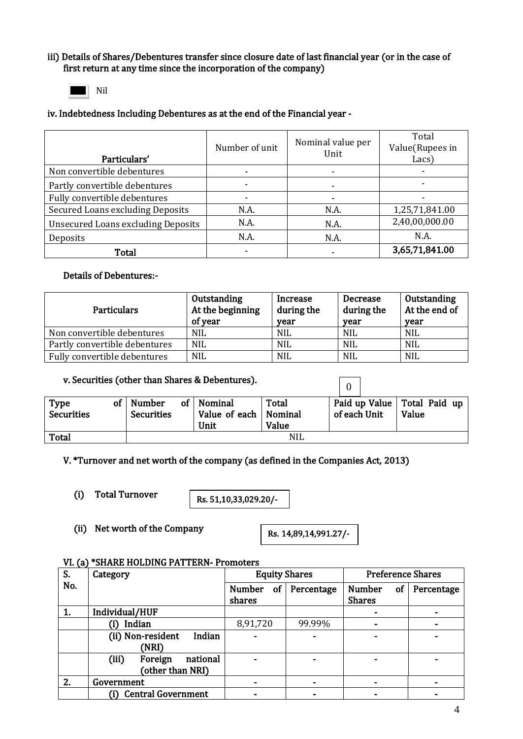#### iii) Details of Shares/Debentures transfer since closure date of last financial year (or in the case of first return at any time since the incorporation of the company)



#### iv. Indebtedness Including Debentures as at the end of the Financial year -

| Particulars'                              | Number of unit | Nominal value per<br>Unit | Total<br>Value(Rupees in<br>Lacs) |
|-------------------------------------------|----------------|---------------------------|-----------------------------------|
| Non convertible debentures                |                |                           |                                   |
| Partly convertible debentures             |                |                           |                                   |
| Fully convertible debentures              |                |                           |                                   |
| Secured Loans excluding Deposits          | N.A.           | N.A.                      | 1,25,71,841.00                    |
| <b>Unsecured Loans excluding Deposits</b> | N.A.           | N.A.                      | 2,40,00,000.00                    |
| Deposits                                  | N.A.           | N.A.                      | N.A.                              |
| Total                                     |                |                           | 3,65,71,841.00                    |

# Details of Debentures:-

| <b>Particulars</b>            | Outstanding<br>At the beginning<br>of year | Increase<br>during the<br>vear | Decrease<br>during the<br>vear | Outstanding<br>At the end of<br>vear |
|-------------------------------|--------------------------------------------|--------------------------------|--------------------------------|--------------------------------------|
| Non convertible debentures    | <b>NIL</b>                                 | <b>NIL</b>                     | <b>NIL</b>                     | <b>NIL</b>                           |
| Partly convertible debentures | <b>NIL</b>                                 | <b>NIL</b>                     | <b>NIL</b>                     | <b>NIL</b>                           |
| Fully convertible debentures  | <b>NIL</b>                                 | <b>NIL</b>                     | <b>NIL</b>                     | <b>NIL</b>                           |

| v. Securities (other than Shares & Debentures). |    |                                    |  |                                         |                           |  |                                               |       |  |
|-------------------------------------------------|----|------------------------------------|--|-----------------------------------------|---------------------------|--|-----------------------------------------------|-------|--|
| <b>Type</b><br><b>Securities</b>                | οf | <b>Number</b><br><b>Securities</b> |  | of   Nominal<br>Value of each  <br>Unit | Total<br>Nominal<br>Value |  | Paid up Value   Total Paid up<br>of each Unit | Value |  |
| <b>Total</b>                                    |    |                                    |  |                                         | NIL                       |  |                                               |       |  |

V. \*Turnover and net worth of the company (as defined in the Companies Act, 2013)

(i) Total Turnover

Rs. 51,10,33,029.20/-

(ii) Net worth of the Company

Rs. 14,89,14,991.27/-

#### VI. (a) \*SHARE HOLDING PATTERN- Promoters

| S.  | Category                     | <b>Equity Shares</b>          |            | <b>Preference Shares</b>             |            |  |
|-----|------------------------------|-------------------------------|------------|--------------------------------------|------------|--|
| No. |                              | <b>Number</b><br>of<br>shares | Percentage | <b>Number</b><br>of<br><b>Shares</b> | Percentage |  |
| 1.  | Individual/HUF               |                               |            | $\blacksquare$                       |            |  |
|     | Indian                       | 8,91,720                      | 99.99%     | ۰                                    | -          |  |
|     | (ii) Non-resident<br>Indian  |                               |            | ۰                                    |            |  |
|     | (NRI)                        |                               |            |                                      |            |  |
|     | (iii)<br>national<br>Foreign |                               |            | $\blacksquare$                       |            |  |
|     | (other than NRI)             |                               |            |                                      |            |  |
| 2.  | Government                   |                               |            | ۰                                    |            |  |
|     | <b>Central Government</b>    |                               |            |                                      |            |  |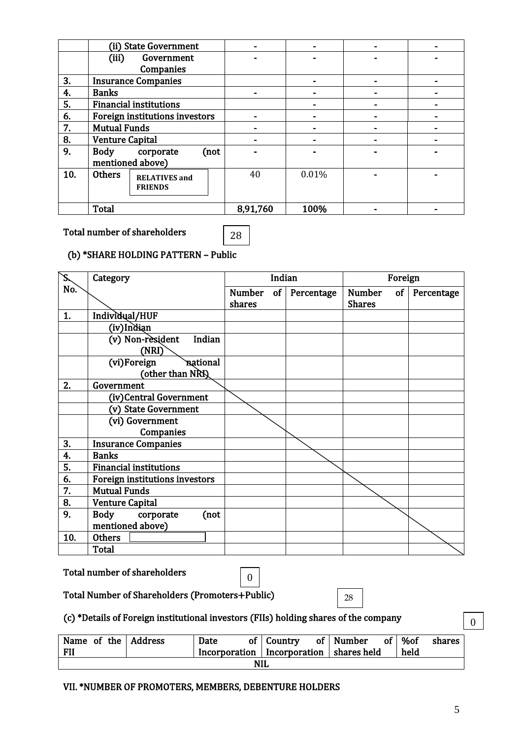|     |                                | (ii) State Government         |      |          |       |  |
|-----|--------------------------------|-------------------------------|------|----------|-------|--|
|     | (iii)                          | Government                    |      |          |       |  |
|     |                                | Companies                     |      |          |       |  |
| 3.  |                                | <b>Insurance Companies</b>    |      |          |       |  |
| 4.  | <b>Banks</b>                   |                               |      |          |       |  |
| 5.  |                                | <b>Financial institutions</b> |      |          |       |  |
| 6.  | Foreign institutions investors |                               |      |          |       |  |
| 7.  | <b>Mutual Funds</b>            |                               |      |          |       |  |
| 8.  | <b>Venture Capital</b>         |                               |      |          |       |  |
| 9.  | <b>Body</b>                    | corporate                     | (not |          |       |  |
|     |                                | mentioned above)              |      |          |       |  |
| 10. | <b>Others</b>                  | <b>RELATIVES</b> and          |      | 40       | 0.01% |  |
|     |                                | <b>FRIENDS</b>                |      |          |       |  |
|     |                                |                               |      |          |       |  |
|     | <b>Total</b>                   |                               |      | 8,91,760 | 100%  |  |

#### Total number of shareholders

# 28

# (b) \*SHARE HOLDING PATTERN – Public

| Š,  | Category                                    |                         | Indian |            | Foreign                              |            |
|-----|---------------------------------------------|-------------------------|--------|------------|--------------------------------------|------------|
| No. |                                             | <b>Number</b><br>shares | of     | Percentage | <b>Number</b><br>of<br><b>Shares</b> | Percentage |
| 1.  | Individual/HUF                              |                         |        |            |                                      |            |
|     | (iv)Indian                                  |                         |        |            |                                      |            |
|     | (v) Non-resident<br>Indian<br>(NRI)         |                         |        |            |                                      |            |
|     | national<br>(vi)Foreign<br>(other than NRI) |                         |        |            |                                      |            |
| 2.  | Government                                  |                         |        |            |                                      |            |
|     | (iv)Central Government                      |                         |        |            |                                      |            |
|     | (v) State Government                        |                         |        |            |                                      |            |
|     | (vi) Government                             |                         |        |            |                                      |            |
|     | Companies                                   |                         |        |            |                                      |            |
| 3.  | <b>Insurance Companies</b>                  |                         |        |            |                                      |            |
| 4.  | <b>Banks</b>                                |                         |        |            |                                      |            |
| 5.  | <b>Financial institutions</b>               |                         |        |            |                                      |            |
| 6.  | Foreign institutions investors              |                         |        |            |                                      |            |
| 7.  | <b>Mutual Funds</b>                         |                         |        |            |                                      |            |
| 8.  | <b>Venture Capital</b>                      |                         |        |            |                                      |            |
| 9.  | <b>Body</b><br>corporate<br>(not            |                         |        |            |                                      |            |
|     | mentioned above)                            |                         |        |            |                                      |            |
| 10. | <b>Others</b>                               |                         |        |            |                                      |            |
|     | <b>Total</b>                                |                         |        |            |                                      |            |

|  |  | Total number of shareholders |  |
|--|--|------------------------------|--|
|--|--|------------------------------|--|

Total Number of Shareholders (Promoters+Public) 4

# (c) \*Details of Foreign institutional investors (FIIs) holding shares of the company

| Name of the Address<br><b>FII</b> |  | Date<br>Incorporation   Incorporation   shares held |  | of $\vert$ Country |  | of   Number | of <sup>1</sup> | %of<br>held | shares |
|-----------------------------------|--|-----------------------------------------------------|--|--------------------|--|-------------|-----------------|-------------|--------|
| <b>NIL</b>                        |  |                                                     |  |                    |  |             |                 |             |        |

28

# VII. \*NUMBER OF PROMOTERS, MEMBERS, DEBENTURE HOLDERS

0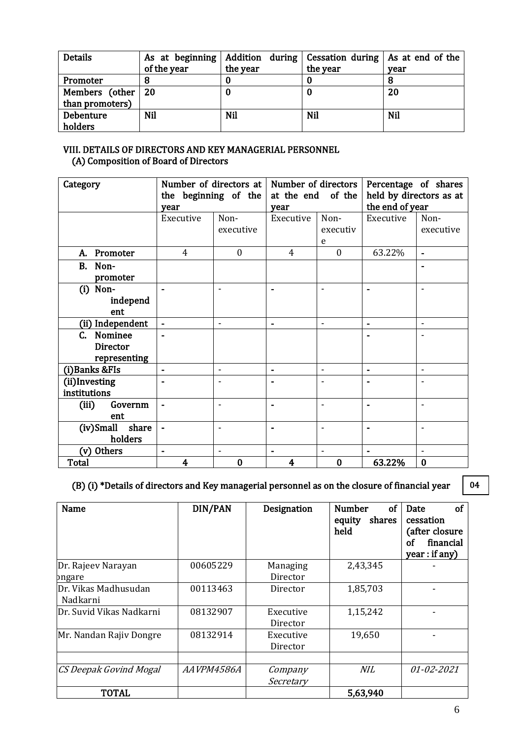| <b>Details</b>  | As at beginning |          | Addition during $\vert$ Cessation during $\vert$ As at end of the |      |
|-----------------|-----------------|----------|-------------------------------------------------------------------|------|
|                 | of the year     | the year | the year                                                          | year |
| Promoter        |                 |          |                                                                   |      |
| Members (other  | -20             |          | U                                                                 | 20   |
| than promoters) |                 |          |                                                                   |      |
| Debenture       | Nil             | Nil      | Nil                                                               | Nil  |
| holders         |                 |          |                                                                   |      |

#### VIII. DETAILS OF DIRECTORS AND KEY MANAGERIAL PERSONNEL (A) Composition of Board of Directors

| Category               | Number of directors at |                          | Number of directors |                          | Percentage of shares    |                          |  |
|------------------------|------------------------|--------------------------|---------------------|--------------------------|-------------------------|--------------------------|--|
|                        | the beginning of the   |                          | at the end          | of the                   | held by directors as at |                          |  |
|                        | vear                   |                          | year                |                          | the end of year         |                          |  |
|                        | Executive              | Non-                     | Executive           | Non-                     | Executive               | Non-                     |  |
|                        |                        | executive                |                     | executiv                 |                         | executive                |  |
|                        |                        |                          |                     | e                        |                         |                          |  |
| Promoter<br>А.         | 4                      | $\boldsymbol{0}$         | 4                   | $\boldsymbol{0}$         | 63.22%                  | $\blacksquare$           |  |
| <b>B.</b><br>Non-      |                        |                          |                     |                          |                         | ۰                        |  |
| promoter               |                        |                          |                     |                          |                         |                          |  |
| $(i)$ Non-             |                        | $\overline{\phantom{a}}$ |                     | $\overline{\phantom{a}}$ | $\blacksquare$          | $\overline{\phantom{a}}$ |  |
| independ               |                        |                          |                     |                          |                         |                          |  |
| ent                    |                        |                          |                     |                          |                         |                          |  |
| (ii) Independent       | ä,                     | $\blacksquare$           | $\blacksquare$      | $\blacksquare$           | $\blacksquare$          | $\overline{\phantom{a}}$ |  |
| Nominee<br>$C_{\cdot}$ |                        |                          |                     |                          |                         |                          |  |
| <b>Director</b>        |                        |                          |                     |                          |                         |                          |  |
| representing           |                        |                          |                     |                          |                         |                          |  |
| (i) Banks & FIs        | $\blacksquare$         | $\blacksquare$           | $\blacksquare$      | $\overline{\phantom{a}}$ | $\blacksquare$          | $\overline{\phantom{a}}$ |  |
| (ii)Investing          |                        | $\blacksquare$           |                     | ٠                        | $\blacksquare$          | $\overline{\phantom{a}}$ |  |
| institutions           |                        |                          |                     |                          |                         |                          |  |
| (iii)<br>Governm       | à,                     | $\overline{\phantom{a}}$ |                     | $\overline{\phantom{a}}$ | $\blacksquare$          | $\overline{\phantom{a}}$ |  |
| ent                    |                        |                          |                     |                          |                         |                          |  |
| share<br>(iv)Small     |                        | $\blacksquare$           |                     | $\overline{\phantom{a}}$ | ۰                       | ٠                        |  |
| holders                |                        |                          |                     |                          |                         |                          |  |
| Others<br>(v)          | Ē.                     | $\blacksquare$           |                     | $\blacksquare$           |                         |                          |  |
| Total                  | 4                      | 0                        | 4                   | $\bf{0}$                 | 63.22%                  | $\bf{0}$                 |  |

# (B) (i) \*Details of directors and Key managerial personnel as on the closure of financial year

04

| Name                             | DIN/PAN    | Designation           | of<br><b>Number</b><br>shares<br>equity<br>held | <sub>of</sub><br>Date<br>cessation<br>(after closure<br>financial<br>οf<br>year : if any) |
|----------------------------------|------------|-----------------------|-------------------------------------------------|-------------------------------------------------------------------------------------------|
| Dr. Rajeev Narayan<br>pngare     | 00605229   | Managing<br>Director  | 2,43,345                                        |                                                                                           |
| Dr. Vikas Madhusudan<br>Nadkarni | 00113463   | Director              | 1,85,703                                        |                                                                                           |
| Dr. Suvid Vikas Nadkarni         | 08132907   | Executive<br>Director | 1,15,242                                        |                                                                                           |
| Mr. Nandan Rajiv Dongre          | 08132914   | Executive<br>Director | 19,650                                          |                                                                                           |
| CS Deepak Govind Mogal           | AAVPM4586A | Company<br>Secretary  | NIL                                             | 01-02-2021                                                                                |
| <b>TOTAL</b>                     |            |                       | 5,63,940                                        |                                                                                           |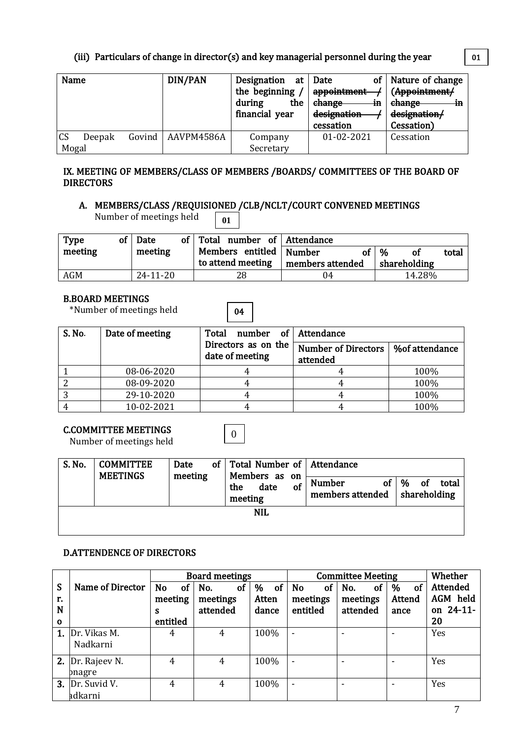# (iii) Particulars of change in director(s) and key managerial personnel during the year

| Name      |        | DIN/PAN             | Designation at | οf<br>Date   | Nature of change |
|-----------|--------|---------------------|----------------|--------------|------------------|
|           |        |                     | the beginning  | appointment  | (Appointment/    |
|           |        |                     | during<br>the  | change<br>٠m | change<br>٠m     |
|           |        |                     | financial year | designation  | designation/     |
|           |        |                     |                | cessation    | Cessation)       |
| <b>CS</b> | Deepak | Govind   AAVPM4586A | Company        | 01-02-2021   | Cessation        |
| Mogal     |        |                     | Secretary      |              |                  |

#### IX. MEETING OF MEMBERS/CLASS OF MEMBERS /BOARDS/ COMMITTEES OF THE BOARD OF DIRECTORS

#### A. MEMBERS/CLASS /REQUISIONED /CLB/NCLT/COURT CONVENED MEETINGS Number of meetings held **01**

04

0

| Type       | of   Date      | of Total number of Attendance                  |                        |                                             |       |
|------------|----------------|------------------------------------------------|------------------------|---------------------------------------------|-------|
| meeting    | meeting        | Members entitled   Number<br>to attend meeting | Ωf<br>members attended | $\mathcal{O}'$<br><b>of</b><br>shareholding | total |
|            |                |                                                |                        |                                             |       |
| <b>AGM</b> | $24 - 11 - 20$ | 28                                             | 04                     | 14.28%                                      |       |

#### B.BOARD MEETINGS

\*Number of meetings held

| S. No. | Date of meeting | Total<br>number of Attendance          |                                        |                |  |  |
|--------|-----------------|----------------------------------------|----------------------------------------|----------------|--|--|
|        |                 | Directors as on the<br>date of meeting | <b>Number of Directors</b><br>attended | %of attendance |  |  |
|        | 08-06-2020      |                                        |                                        | 100%           |  |  |
|        | 08-09-2020      |                                        |                                        | 100%           |  |  |
|        | 29-10-2020      |                                        |                                        | 100%           |  |  |
|        | 10-02-2021      |                                        |                                        | 100%           |  |  |

# C.COMMITTEE MEETINGS

Number of meetings held

| S. No.     | <b>COMMITTEE</b><br><b>MEETINGS</b> | Date    |  | of Total Number of Attendance                 |                                         |                                                 |  |  |  |
|------------|-------------------------------------|---------|--|-----------------------------------------------|-----------------------------------------|-------------------------------------------------|--|--|--|
|            |                                     | meeting |  | Members as on<br>of<br>date<br>the<br>meeting | <b>Number</b><br>of<br>members attended | <b>of</b><br>%<br>total<br>$\vert$ shareholding |  |  |  |
| <b>NIL</b> |                                     |         |  |                                               |                                         |                                                 |  |  |  |

# D.ATTENDENCE OF DIRECTORS

|             |                    |                        | <b>Board meetings</b> |         | <b>Committee Meeting</b>   | Whether          |                |                 |
|-------------|--------------------|------------------------|-----------------------|---------|----------------------------|------------------|----------------|-----------------|
| S           | Name of Director   | <b>No</b><br><b>of</b> | No.<br>οf             | of<br>% | <sub>of</sub><br><b>No</b> | <b>of</b><br>No. | <b>of</b><br>% | <b>Attended</b> |
| r.          |                    | meeting                | meetings              | Atten   | meetings                   | meetings         | Attend         | AGM held        |
| N           |                    | s                      | attended              | dance   | entitled                   | attended         | ance           | on 24-11-       |
| $\mathbf 0$ |                    | entitled               |                       |         |                            |                  |                | 20              |
|             | 1. Dr. Vikas M.    | 4                      | 4                     | 100%    | ٠                          |                  | ٠              | Yes             |
|             | Nadkarni           |                        |                       |         |                            |                  |                |                 |
|             | 2. $Dr. Rajeev N.$ | 4                      | 4                     | 100%    | ٠                          |                  |                | Yes             |
|             | pnagre             |                        |                       |         |                            |                  |                |                 |
| 3.          | Dr. Suvid V.       | 4                      | 4                     | 100%    | $\blacksquare$             |                  | ۰              | Yes             |
|             | adkarni            |                        |                       |         |                            |                  |                |                 |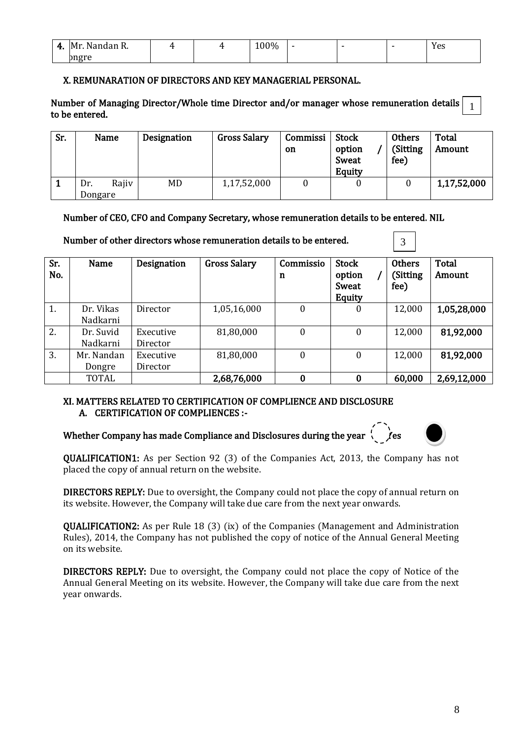| л.<br> | ⊣M∗<br>N۵<br>$\sim$<br>. . | <b>LL</b> | $\sim$ $\sim$ $\sim$<br>100% |  | ΥΑς<br>1 C J |
|--------|----------------------------|-----------|------------------------------|--|--------------|
|        | norr                       |           |                              |  |              |

#### X. REMUNARATION OF DIRECTORS AND KEY MANAGERIAL PERSONAL.

Number of Managing Director/Whole time Director and/or manager whose remuneration details to be entered. 1

| Sr. | Name                    | Designation | <b>Gross Salary</b> | Commissi<br>on | <b>Stock</b><br>option<br>Sweat<br>Equity | <b>Others</b><br>(Sitting<br>fee) | Total<br>Amount |
|-----|-------------------------|-------------|---------------------|----------------|-------------------------------------------|-----------------------------------|-----------------|
|     | Rajiv<br>Dr.<br>Dongare | MD          | 1,17,52,000         |                | U                                         |                                   | 1,17,52,000     |

#### Number of CEO, CFO and Company Secretary, whose remuneration details to be entered. NIL

 Sr. No. Name Designation Gross Salary Commissio n Stock option / Sweat Equity **Others** (Sitting fee) Total Amount 1. Dr. Vikas Nadkarni Director | 1,05,16,000 | 0 | 0 | 12,000 1,05,28,000 2. Dr. Suvid Nadkarni Executive Director 81,80,000 0 0 0 12,000 81,92,000 3. Mr. Nandan Dongre Executive Director  $81,80,000$  0 0 12,000 81,92,000 TOTAL | 2,68,76,000 | 0 | 0 | 60,000 | 2,69,12,000

#### Number of other directors whose remuneration details to be entered.

#### XI. MATTERS RELATED TO CERTIFICATION OF COMPLIENCE AND DISCLOSURE A. CERTIFICATION OF COMPLIENCES :-

# Whether Company has made Compliance and Disclosures during the year  $\sqrt{\phantom{a}}$  es  $\sqrt{\phantom{a}}$



3

QUALIFICATION1: As per Section 92 (3) of the Companies Act, 2013, the Company has not placed the copy of annual return on the website.

DIRECTORS REPLY: Due to oversight, the Company could not place the copy of annual return on its website. However, the Company will take due care from the next year onwards.

QUALIFICATION2: As per Rule 18 (3) (ix) of the Companies (Management and Administration Rules), 2014, the Company has not published the copy of notice of the Annual General Meeting on its website.

DIRECTORS REPLY: Due to oversight, the Company could not place the copy of Notice of the Annual General Meeting on its website. However, the Company will take due care from the next year onwards.